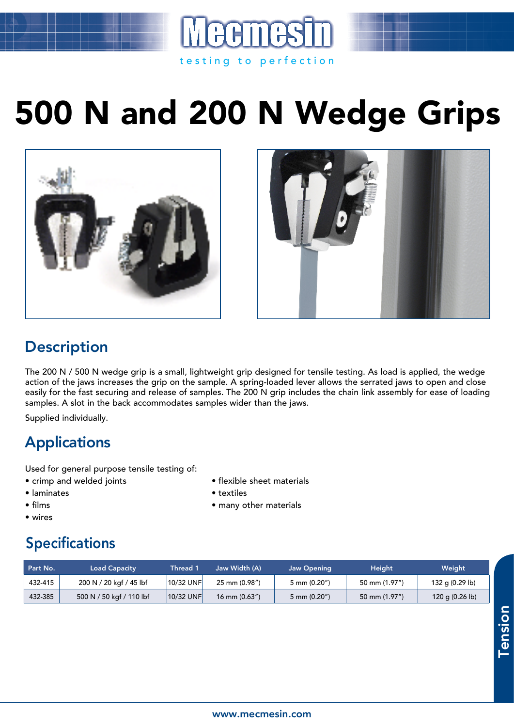## 500 N and 200 N Wedge Grips

testing to perfection





## **Description**

The 200 N / 500 N wedge grip is a small, lightweight grip designed for tensile testing. As load is applied, the wedge action of the jaws increases the grip on the sample. A spring-loaded lever allows the serrated jaws to open and close easily for the fast securing and release of samples. The 200 N grip includes the chain link assembly for ease of loading samples. A slot in the back accommodates samples wider than the jaws.

Supplied individually.

## **Applications**

Used for general purpose tensile testing of:

- crimp and welded joints flexible sheet materials
- laminates textiles
- films many other materials
- wires

## Specifications

| Part No. | <b>Load Capacity</b>     | <b>Thread 1</b> | Jaw Width (A)      | <b>Jaw Opening</b>    | Height.       | Weight                    |
|----------|--------------------------|-----------------|--------------------|-----------------------|---------------|---------------------------|
| 432-415  | 200 N / 20 kgf / 45 lbf  | 10/32 UNF       | 25 mm (0.98")      | $5 \text{ mm} (0.20)$ | 50 mm (1.97") | 132 g (0.29 lb)           |
| 432-385  | 500 N / 50 kgf / 110 lbf | $ 10/32$ UNF    | $16$ mm $(0.63'')$ | $5 \text{ mm} (0.20)$ | 50 mm (1.97") | 120 g $(0.26 \text{ lb})$ |

**Tension** Tension